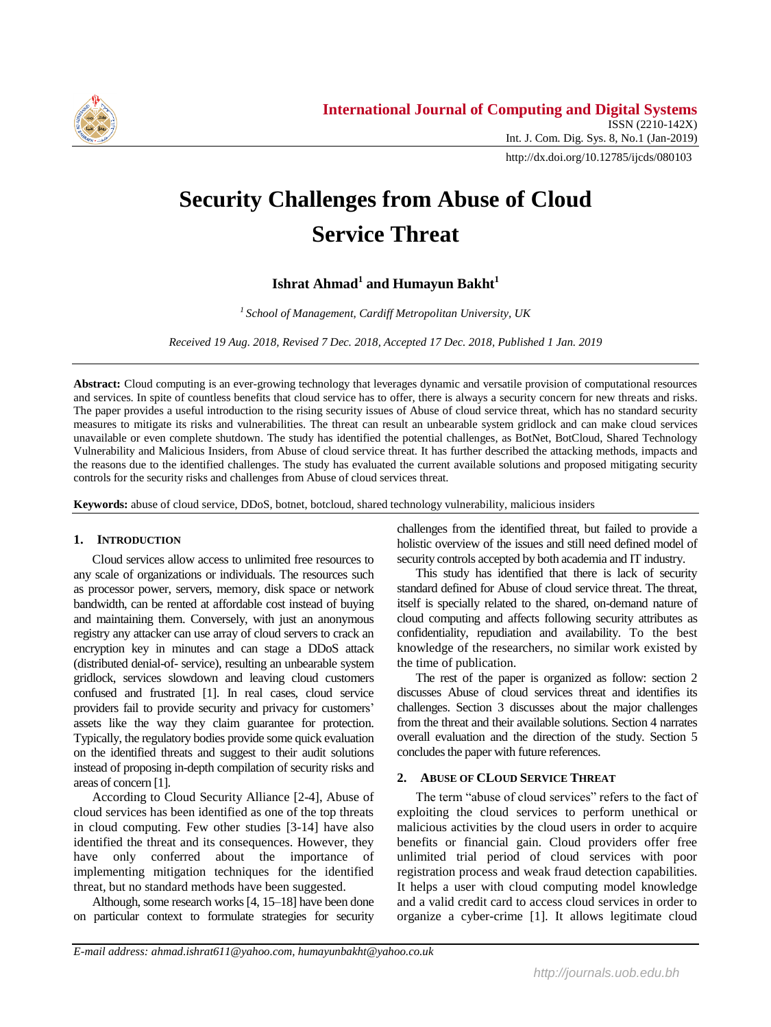

http://dx.doi.org/10.12785/ijcds/080103

# **Security Challenges from Abuse of Cloud Service Threat**

## **Ishrat Ahmad<sup>1</sup> and Humayun Bakht 1**

*<sup>1</sup>School of Management, Cardiff Metropolitan University, UK*

*Received 19 Aug. 2018, Revised 7 Dec. 2018, Accepted 17 Dec. 2018, Published 1 Jan. 2019*

**Abstract:** Cloud computing is an ever-growing technology that leverages dynamic and versatile provision of computational resources and services. In spite of countless benefits that cloud service has to offer, there is always a security concern for new threats and risks. The paper provides a useful introduction to the rising security issues of Abuse of cloud service threat, which has no standard security measures to mitigate its risks and vulnerabilities. The threat can result an unbearable system gridlock and can make cloud services unavailable or even complete shutdown. The study has identified the potential challenges, as BotNet, BotCloud, Shared Technology Vulnerability and Malicious Insiders, from Abuse of cloud service threat. It has further described the attacking methods, impacts and the reasons due to the identified challenges. The study has evaluated the current available solutions and proposed mitigating security controls for the security risks and challenges from Abuse of cloud services threat.

**Keywords:** abuse of cloud service, DDoS, botnet, botcloud, shared technology vulnerability, malicious insiders

## **1. INTRODUCTION**

Cloud services allow access to unlimited free resources to any scale of organizations or individuals. The resources such as processor power, servers, memory, disk space or network bandwidth, can be rented at affordable cost instead of buying and maintaining them. Conversely, with just an anonymous registry any attacker can use array of cloud servers to crack an encryption key in minutes and can stage a DDoS attack (distributed denial-of- service), resulting an unbearable system gridlock, services slowdown and leaving cloud customers confused and frustrated [1]. In real cases, cloud service providers fail to provide security and privacy for customers' assets like the way they claim guarantee for protection. Typically, the regulatory bodies provide some quick evaluation on the identified threats and suggest to their audit solutions instead of proposing in-depth compilation of security risks and areas of concern [1].

According to Cloud Security Alliance [2-4], Abuse of cloud services has been identified as one of the top threats in cloud computing. Few other studies [3-14] have also identified the threat and its consequences. However, they have only conferred about the importance of implementing mitigation techniques for the identified threat, but no standard methods have been suggested.

Although, some research works[4, 15–18] have been done on particular context to formulate strategies for security challenges from the identified threat, but failed to provide a holistic overview of the issues and still need defined model of security controls accepted by both academia and IT industry.

This study has identified that there is lack of security standard defined for Abuse of cloud service threat. The threat, itself is specially related to the shared, on-demand nature of cloud computing and affects following security attributes as confidentiality, repudiation and availability. To the best knowledge of the researchers, no similar work existed by the time of publication.

The rest of the paper is organized as follow: section 2 discusses Abuse of cloud services threat and identifies its challenges. Section 3 discusses about the major challenges from the threat and their available solutions. Section 4 narrates overall evaluation and the direction of the study. Section 5 concludes the paper with future references.

## **2. ABUSE OF CLOUD SERVICE THREAT**

The term "abuse of cloud services" refers to the fact of exploiting the cloud services to perform unethical or malicious activities by the cloud users in order to acquire benefits or financial gain. Cloud providers offer free unlimited trial period of cloud services with poor registration process and weak fraud detection capabilities. It helps a user with cloud computing model knowledge and a valid credit card to access cloud services in order to organize a cyber-crime [1]. It allows legitimate cloud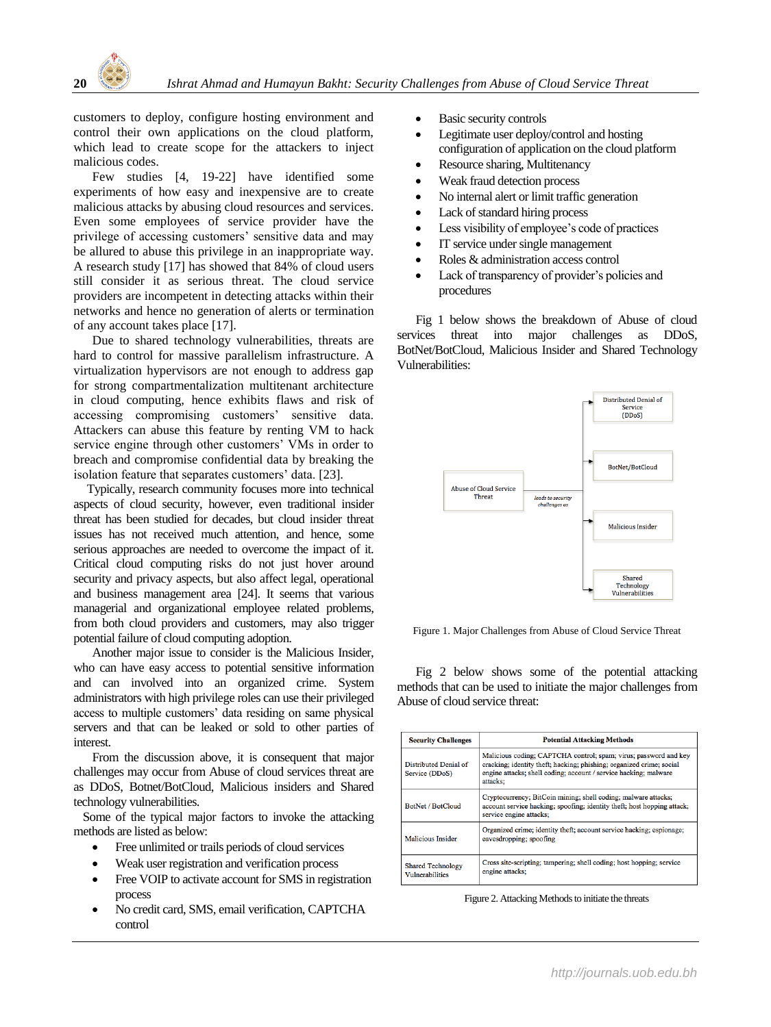

customers to deploy, configure hosting environment and control their own applications on the cloud platform, which lead to create scope for the attackers to inject malicious codes.

Few studies [4, 19-22] have identified some experiments of how easy and inexpensive are to create malicious attacks by abusing cloud resources and services. Even some employees of service provider have the privilege of accessing customers' sensitive data and may be allured to abuse this privilege in an inappropriate way. A research study [17] has showed that 84% of cloud users still consider it as serious threat. The cloud service providers are incompetent in detecting attacks within their networks and hence no generation of alerts or termination of any account takes place [17].

Due to shared technology vulnerabilities, threats are hard to control for massive parallelism infrastructure. A virtualization hypervisors are not enough to address gap for strong compartmentalization multitenant architecture in cloud computing, hence exhibits flaws and risk of accessing compromising customers' sensitive data. Attackers can abuse this feature by renting VM to hack service engine through other customers' VMs in order to breach and compromise confidential data by breaking the isolation feature that separates customers' data. [23].

Typically, research community focuses more into technical aspects of cloud security, however, even traditional insider threat has been studied for decades, but cloud insider threat issues has not received much attention, and hence, some serious approaches are needed to overcome the impact of it. Critical cloud computing risks do not just hover around security and privacy aspects, but also affect legal, operational and business management area [24]. It seems that various managerial and organizational employee related problems, from both cloud providers and customers, may also trigger potential failure of cloud computing adoption.

Another major issue to consider is the Malicious Insider, who can have easy access to potential sensitive information and can involved into an organized crime. System administrators with high privilege roles can use their privileged access to multiple customers' data residing on same physical servers and that can be leaked or sold to other parties of interest.

From the discussion above, it is consequent that major challenges may occur from Abuse of cloud services threat are as DDoS, Botnet/BotCloud, Malicious insiders and Shared technology vulnerabilities.

Some of the typical major factors to invoke the attacking methods are listed as below:

- Free unlimited or trails periods of cloud services
- Weak user registration and verification process
- Free VOIP to activate account for SMS in registration process
- No credit card, SMS, email verification, CAPTCHA control
- Basic security controls
- Legitimate user deploy/control and hosting configuration of application on the cloud platform
- Resource sharing, Multitenancy
- Weak fraud detection process
- No internal alert or limit traffic generation
- Lack of standard hiring process
- Less visibility of employee's code of practices
- IT service under single management
- Roles & administration access control
- Lack of transparency of provider's policies and procedures

Fig 1 below shows the breakdown of Abuse of cloud services threat into major challenges as DDoS, BotNet/BotCloud, Malicious Insider and Shared Technology Vulnerabilities:



Figure 1. Major Challenges from Abuse of Cloud Service Threat

Fig 2 below shows some of the potential attacking methods that can be used to initiate the major challenges from Abuse of cloud service threat:

| <b>Security Challenges</b>                  | <b>Potential Attacking Methods</b>                                                                                                                                                                                       |  |  |  |  |
|---------------------------------------------|--------------------------------------------------------------------------------------------------------------------------------------------------------------------------------------------------------------------------|--|--|--|--|
| Distributed Denial of<br>Service (DDoS)     | Malicious coding: CAPTCHA control; spam; virus; password and key<br>cracking; identity theft; hacking; phishing; organized crime; social<br>engine attacks; shell coding; account / service hacking; malware<br>attacks: |  |  |  |  |
| BotNet / BotCloud                           | Cryptocurrency; BitCoin mining; shell coding; malware attacks;<br>account service hacking; spoofing; identity theft; host hopping attack;<br>service engine attacks;                                                     |  |  |  |  |
| <b>Malicious Insider</b>                    | Organized crime; identity theft; account service hacking; espionage;<br>eavesdropping; spoofing                                                                                                                          |  |  |  |  |
| <b>Shared Technology</b><br>Vulnerabilities | Cross site-scripting; tampering; shell coding; host hopping; service<br>engine attacks;                                                                                                                                  |  |  |  |  |

Figure 2. Attacking Methods to initiate the threats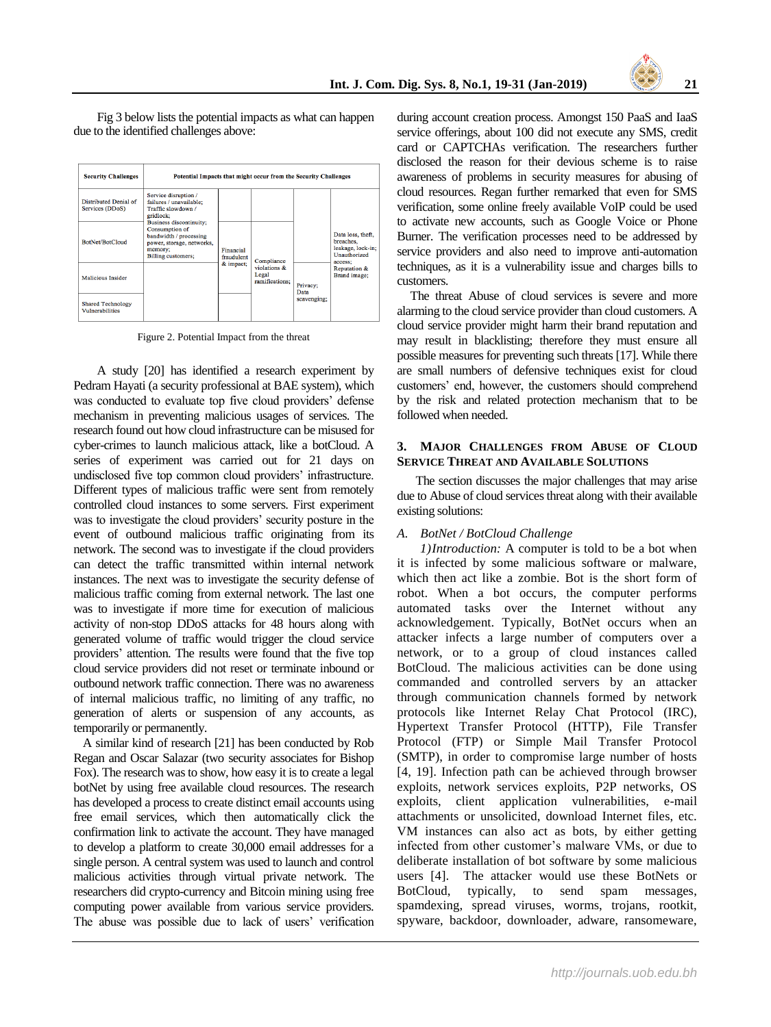Fig 3 below lists the potential impacts as what can happen due to the identified challenges above:

| <b>Security Challenges</b>                         | Potential Impacts that might occur from the Security Challenges                                                                                                                                                                |                         |            |                                |                                                                                |                              |
|----------------------------------------------------|--------------------------------------------------------------------------------------------------------------------------------------------------------------------------------------------------------------------------------|-------------------------|------------|--------------------------------|--------------------------------------------------------------------------------|------------------------------|
| Distributed Denial of<br>Services (DDoS)           | Service disruption /<br>failures / unavailable:<br>Traffic slowdown /<br>gridlock;<br>Business discontinuity;<br>Consumption of<br>bandwidth / processing<br>power, storage, networks,<br>memory;<br><b>Billing customers:</b> |                         |            |                                | Data loss, theft,<br>breaches.<br>leakage, lock-in;<br>Unauthorized<br>access: |                              |
| BotNet/BotCloud                                    |                                                                                                                                                                                                                                | Financial<br>fraudulent | Compliance |                                |                                                                                |                              |
| <b>Malicious Insider</b>                           |                                                                                                                                                                                                                                | & impact;               | Legal      | violations &<br>ramifications: | Privacy;<br>Data                                                               | Reputation &<br>Brand image; |
| <b>Shared Technology</b><br><b>Vulnerabilities</b> |                                                                                                                                                                                                                                |                         |            | scavenging;                    |                                                                                |                              |

Figure 2. Potential Impact from the threat

A study [20] has identified a research experiment by Pedram Hayati (a security professional at BAE system), which was conducted to evaluate top five cloud providers' defense mechanism in preventing malicious usages of services. The research found out how cloud infrastructure can be misused for cyber-crimes to launch malicious attack, like a botCloud. A series of experiment was carried out for 21 days on undisclosed five top common cloud providers' infrastructure. Different types of malicious traffic were sent from remotely controlled cloud instances to some servers. First experiment was to investigate the cloud providers' security posture in the event of outbound malicious traffic originating from its network. The second was to investigate if the cloud providers can detect the traffic transmitted within internal network instances. The next was to investigate the security defense of malicious traffic coming from external network. The last one was to investigate if more time for execution of malicious activity of non-stop DDoS attacks for 48 hours along with generated volume of traffic would trigger the cloud service providers' attention. The results were found that the five top cloud service providers did not reset or terminate inbound or outbound network traffic connection. There was no awareness of internal malicious traffic, no limiting of any traffic, no generation of alerts or suspension of any accounts, as temporarily or permanently.

A similar kind of research [21] has been conducted by Rob Regan and Oscar Salazar (two security associates for Bishop Fox). The research was to show, how easy it is to create a legal botNet by using free available cloud resources. The research has developed a process to create distinct email accounts using free email services, which then automatically click the confirmation link to activate the account. They have managed to develop a platform to create 30,000 email addresses for a single person. A central system was used to launch and control malicious activities through virtual private network. The researchers did crypto-currency and Bitcoin mining using free computing power available from various service providers. The abuse was possible due to lack of users' verification

during account creation process. Amongst 150 PaaS and IaaS service offerings, about 100 did not execute any SMS, credit card or CAPTCHAs verification. The researchers further disclosed the reason for their devious scheme is to raise awareness of problems in security measures for abusing of cloud resources. Regan further remarked that even for SMS verification, some online freely available VoIP could be used to activate new accounts, such as Google Voice or Phone Burner. The verification processes need to be addressed by service providers and also need to improve anti-automation techniques, as it is a vulnerability issue and charges bills to customers.

The threat Abuse of cloud services is severe and more alarming to the cloud service provider than cloud customers. A cloud service provider might harm their brand reputation and may result in blacklisting; therefore they must ensure all possible measures for preventing such threats [17]. While there are small numbers of defensive techniques exist for cloud customers' end, however, the customers should comprehend by the risk and related protection mechanism that to be followed when needed.

## **3. MAJOR CHALLENGES FROM ABUSE OF CLOUD SERVICE THREAT AND AVAILABLE SOLUTIONS**

The section discusses the major challenges that may arise due to Abuse of cloud services threat along with their available existing solutions:

## *A. BotNet / BotCloud Challenge*

*1)Introduction:* A computer is told to be a bot when it is infected by some malicious software or malware, which then act like a zombie. Bot is the short form of robot. When a bot occurs, the computer performs automated tasks over the Internet without any acknowledgement. Typically, BotNet occurs when an attacker infects a large number of computers over a network, or to a group of cloud instances called BotCloud. The malicious activities can be done using commanded and controlled servers by an attacker through communication channels formed by network protocols like Internet Relay Chat Protocol (IRC), Hypertext Transfer Protocol (HTTP), File Transfer Protocol (FTP) or Simple Mail Transfer Protocol (SMTP), in order to compromise large number of hosts [4, 19]. Infection path can be achieved through browser exploits, network services exploits, P2P networks, OS exploits, client application vulnerabilities, e-mail attachments or unsolicited, download Internet files, etc. VM instances can also act as bots, by either getting infected from other customer's malware VMs, or due to deliberate installation of bot software by some malicious users [4]. The attacker would use these BotNets or BotCloud, typically, to send spam messages, spamdexing, spread viruses, worms, trojans, rootkit, spyware, backdoor, downloader, adware, ransomeware,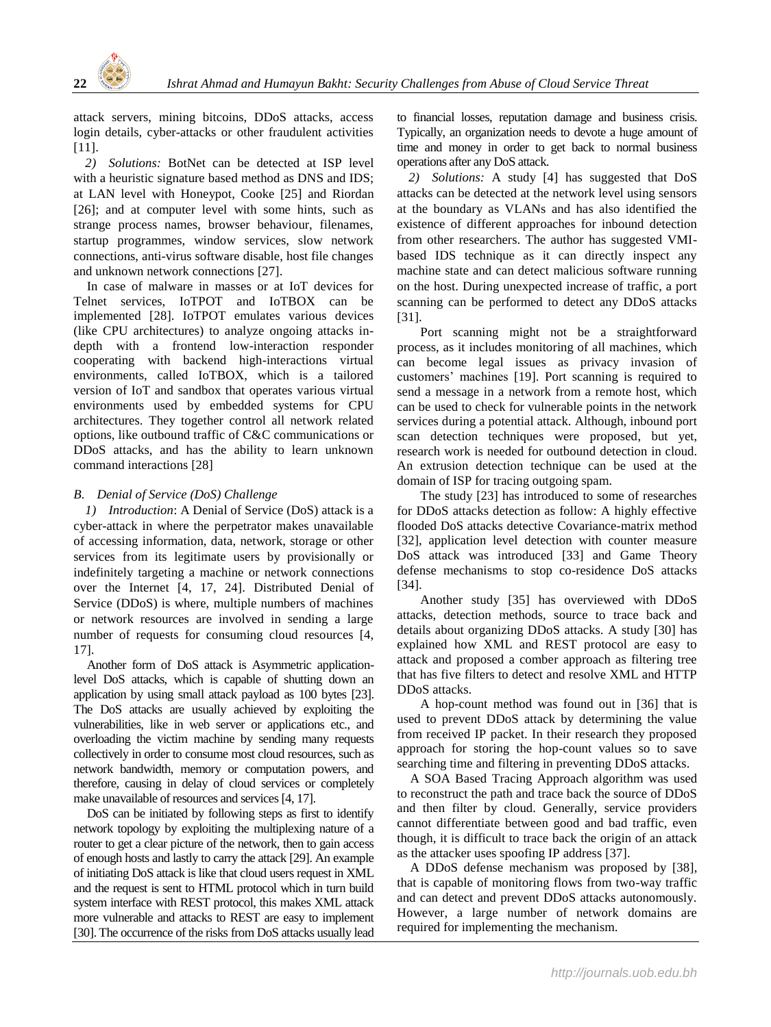

attack servers, mining bitcoins, DDoS attacks, access login details, cyber-attacks or other fraudulent activities [11].

*2) Solutions:* BotNet can be detected at ISP level with a heuristic signature based method as DNS and IDS; at LAN level with Honeypot, Cooke [25] and Riordan [26]; and at computer level with some hints, such as strange process names, browser behaviour, filenames, startup programmes, window services, slow network connections, anti-virus software disable, host file changes and unknown network connections [27].

In case of malware in masses or at IoT devices for Telnet services, IoTPOT and IoTBOX can be implemented [28]. IoTPOT emulates various devices (like CPU architectures) to analyze ongoing attacks indepth with a frontend low-interaction responder cooperating with backend high-interactions virtual environments, called IoTBOX, which is a tailored version of IoT and sandbox that operates various virtual environments used by embedded systems for CPU architectures. They together control all network related options, like outbound traffic of C&C communications or DDoS attacks, and has the ability to learn unknown command interactions [28]

## *B. Denial of Service (DoS) Challenge*

*1) Introduction*: A Denial of Service (DoS) attack is a cyber-attack in where the perpetrator makes unavailable of accessing information, data, network, storage or other services from its legitimate users by provisionally or indefinitely targeting a machine or network connections over the Internet [4, 17, 24]. Distributed Denial of Service (DDoS) is where, multiple numbers of machines or network resources are involved in sending a large number of requests for consuming cloud resources [4, 17].

Another form of DoS attack is Asymmetric applicationlevel DoS attacks, which is capable of shutting down an application by using small attack payload as 100 bytes [23]. The DoS attacks are usually achieved by exploiting the vulnerabilities, like in web server or applications etc., and overloading the victim machine by sending many requests collectively in order to consume most cloud resources, such as network bandwidth, memory or computation powers, and therefore, causing in delay of cloud services or completely make unavailable of resources and services [4, 17].

DoS can be initiated by following steps as first to identify network topology by exploiting the multiplexing nature of a router to get a clear picture of the network, then to gain access of enough hosts and lastly to carry the attack [29]. An example of initiating DoS attack is like that cloud users request in XML and the request is sent to HTML protocol which in turn build system interface with REST protocol, this makes XML attack more vulnerable and attacks to REST are easy to implement [30]. The occurrence of the risks from DoS attacks usually lead to financial losses, reputation damage and business crisis. Typically, an organization needs to devote a huge amount of time and money in order to get back to normal business operations after any DoS attack.

*2) Solutions:* A study [4] has suggested that DoS attacks can be detected at the network level using sensors at the boundary as VLANs and has also identified the existence of different approaches for inbound detection from other researchers. The author has suggested VMIbased IDS technique as it can directly inspect any machine state and can detect malicious software running on the host. During unexpected increase of traffic, a port scanning can be performed to detect any DDoS attacks [31].

Port scanning might not be a straightforward process, as it includes monitoring of all machines, which can become legal issues as privacy invasion of customers' machines [19]. Port scanning is required to send a message in a network from a remote host, which can be used to check for vulnerable points in the network services during a potential attack. Although, inbound port scan detection techniques were proposed, but yet, research work is needed for outbound detection in cloud. An extrusion detection technique can be used at the domain of ISP for tracing outgoing spam.

The study [23] has introduced to some of researches for DDoS attacks detection as follow: A highly effective flooded DoS attacks detective Covariance-matrix method [32], application level detection with counter measure DoS attack was introduced [33] and Game Theory defense mechanisms to stop co-residence DoS attacks [34].

Another study [35] has overviewed with DDoS attacks, detection methods, source to trace back and details about organizing DDoS attacks. A study [30] has explained how XML and REST protocol are easy to attack and proposed a comber approach as filtering tree that has five filters to detect and resolve XML and HTTP DDoS attacks.

A hop-count method was found out in [36] that is used to prevent DDoS attack by determining the value from received IP packet. In their research they proposed approach for storing the hop-count values so to save searching time and filtering in preventing DDoS attacks.

A SOA Based Tracing Approach algorithm was used to reconstruct the path and trace back the source of DDoS and then filter by cloud. Generally, service providers cannot differentiate between good and bad traffic, even though, it is difficult to trace back the origin of an attack as the attacker uses spoofing IP address [37].

A DDoS defense mechanism was proposed by [38], that is capable of monitoring flows from two-way traffic and can detect and prevent DDoS attacks autonomously. However, a large number of network domains are required for implementing the mechanism.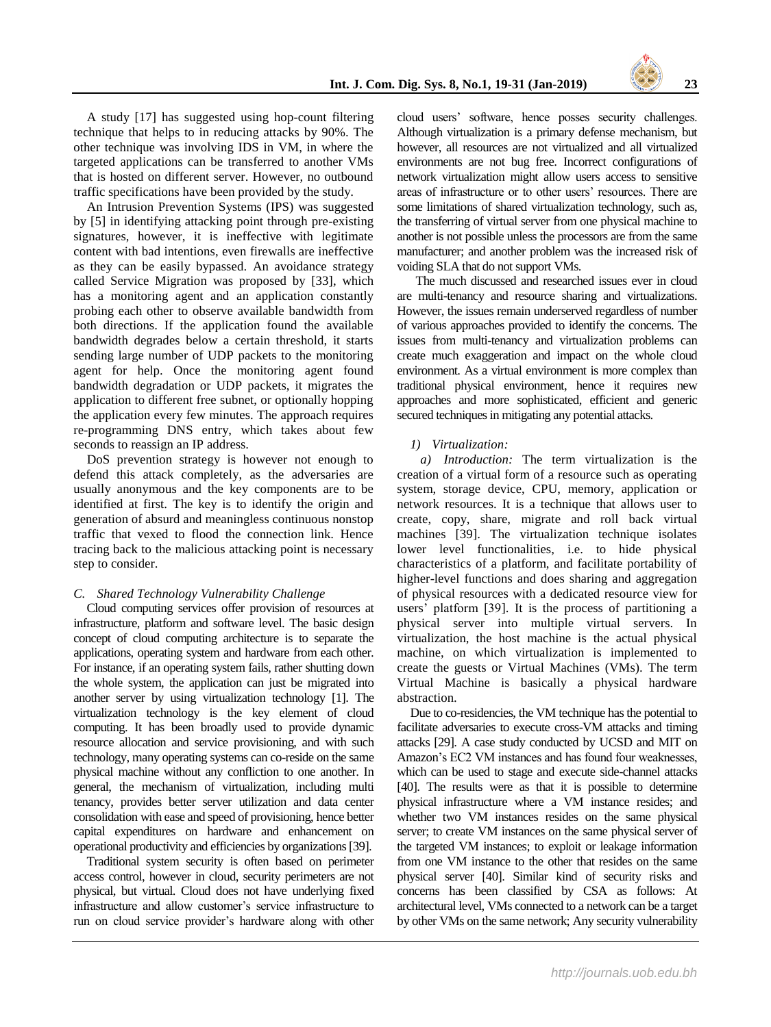A study [17] has suggested using hop-count filtering technique that helps to in reducing attacks by 90%. The other technique was involving IDS in VM, in where the targeted applications can be transferred to another VMs that is hosted on different server. However, no outbound traffic specifications have been provided by the study.

An Intrusion Prevention Systems (IPS) was suggested by [5] in identifying attacking point through pre-existing signatures, however, it is ineffective with legitimate content with bad intentions, even firewalls are ineffective as they can be easily bypassed. An avoidance strategy called Service Migration was proposed by [33], which has a monitoring agent and an application constantly probing each other to observe available bandwidth from both directions. If the application found the available bandwidth degrades below a certain threshold, it starts sending large number of UDP packets to the monitoring agent for help. Once the monitoring agent found bandwidth degradation or UDP packets, it migrates the application to different free subnet, or optionally hopping the application every few minutes. The approach requires re-programming DNS entry, which takes about few seconds to reassign an IP address.

DoS prevention strategy is however not enough to defend this attack completely, as the adversaries are usually anonymous and the key components are to be identified at first. The key is to identify the origin and generation of absurd and meaningless continuous nonstop traffic that vexed to flood the connection link. Hence tracing back to the malicious attacking point is necessary step to consider.

## *C. Shared Technology Vulnerability Challenge*

Cloud computing services offer provision of resources at infrastructure, platform and software level. The basic design concept of cloud computing architecture is to separate the applications, operating system and hardware from each other. For instance, if an operating system fails, rather shutting down the whole system, the application can just be migrated into another server by using virtualization technology [1]. The virtualization technology is the key element of cloud computing. It has been broadly used to provide dynamic resource allocation and service provisioning, and with such technology, many operating systems can co-reside on the same physical machine without any confliction to one another. In general, the mechanism of virtualization, including multi tenancy, provides better server utilization and data center consolidation with ease and speed of provisioning, hence better capital expenditures on hardware and enhancement on operational productivity and efficiencies by organizations[39].

Traditional system security is often based on perimeter access control, however in cloud, security perimeters are not physical, but virtual. Cloud does not have underlying fixed infrastructure and allow customer's service infrastructure to run on cloud service provider's hardware along with other cloud users' software, hence posses security challenges. Although virtualization is a primary defense mechanism, but however, all resources are not virtualized and all virtualized environments are not bug free. Incorrect configurations of network virtualization might allow users access to sensitive areas of infrastructure or to other users' resources. There are some limitations of shared virtualization technology, such as, the transferring of virtual server from one physical machine to another is not possible unless the processors are from the same manufacturer; and another problem was the increased risk of voiding SLA that do not support VMs.

The much discussed and researched issues ever in cloud are multi-tenancy and resource sharing and virtualizations. However, the issues remain underserved regardless of number of various approaches provided to identify the concerns. The issues from multi-tenancy and virtualization problems can create much exaggeration and impact on the whole cloud environment. As a virtual environment is more complex than traditional physical environment, hence it requires new approaches and more sophisticated, efficient and generic secured techniques in mitigating any potential attacks.

## *1) Virtualization:*

*a) Introduction:* The term virtualization is the creation of a virtual form of a resource such as operating system, storage device, CPU, memory, application or network resources. It is a technique that allows user to create, copy, share, migrate and roll back virtual machines [39]. The virtualization technique isolates lower level functionalities, i.e. to hide physical characteristics of a platform, and facilitate portability of higher-level functions and does sharing and aggregation of physical resources with a dedicated resource view for users' platform [39]. It is the process of partitioning a physical server into multiple virtual servers. In virtualization, the host machine is the actual physical machine, on which virtualization is implemented to create the guests or Virtual Machines (VMs). The term Virtual Machine is basically a physical hardware abstraction.

Due to co-residencies, the VM technique has the potential to facilitate adversaries to execute cross-VM attacks and timing attacks [29]. A case study conducted by UCSD and MIT on Amazon's EC2 VM instances and has found four weaknesses, which can be used to stage and execute side-channel attacks [40]. The results were as that it is possible to determine physical infrastructure where a VM instance resides; and whether two VM instances resides on the same physical server; to create VM instances on the same physical server of the targeted VM instances; to exploit or leakage information from one VM instance to the other that resides on the same physical server [40]. Similar kind of security risks and concerns has been classified by CSA as follows: At architectural level, VMs connected to a network can be a target by other VMs on the same network; Any security vulnerability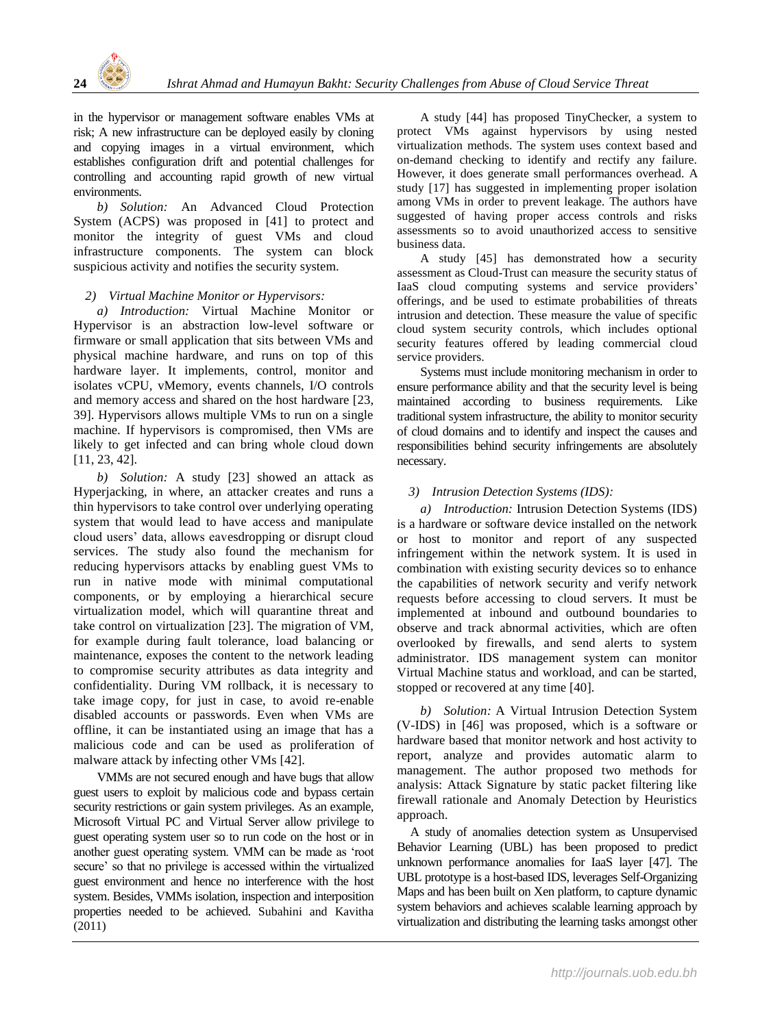

in the hypervisor or management software enables VMs at risk; A new infrastructure can be deployed easily by cloning and copying images in a virtual environment, which establishes configuration drift and potential challenges for controlling and accounting rapid growth of new virtual environments.

*b) Solution:* An Advanced Cloud Protection System (ACPS) was proposed in [41] to protect and monitor the integrity of guest VMs and cloud infrastructure components. The system can block suspicious activity and notifies the security system.

## *2) Virtual Machine Monitor or Hypervisors:*

*a) Introduction:* Virtual Machine Monitor or Hypervisor is an abstraction low-level software or firmware or small application that sits between VMs and physical machine hardware, and runs on top of this hardware layer. It implements, control, monitor and isolates vCPU, vMemory, events channels, I/O controls and memory access and shared on the host hardware [23, 39]. Hypervisors allows multiple VMs to run on a single machine. If hypervisors is compromised, then VMs are likely to get infected and can bring whole cloud down [11, 23, 42].

*b) Solution:* A study [23] showed an attack as Hyperjacking, in where, an attacker creates and runs a thin hypervisors to take control over underlying operating system that would lead to have access and manipulate cloud users' data, allows eavesdropping or disrupt cloud services. The study also found the mechanism for reducing hypervisors attacks by enabling guest VMs to run in native mode with minimal computational components, or by employing a hierarchical secure virtualization model, which will quarantine threat and take control on virtualization [23]. The migration of VM, for example during fault tolerance, load balancing or maintenance, exposes the content to the network leading to compromise security attributes as data integrity and confidentiality. During VM rollback, it is necessary to take image copy, for just in case, to avoid re-enable disabled accounts or passwords. Even when VMs are offline, it can be instantiated using an image that has a malicious code and can be used as proliferation of malware attack by infecting other VMs [42].

VMMs are not secured enough and have bugs that allow guest users to exploit by malicious code and bypass certain security restrictions or gain system privileges. As an example, Microsoft Virtual PC and Virtual Server allow privilege to guest operating system user so to run code on the host or in another guest operating system. VMM can be made as 'root secure' so that no privilege is accessed within the virtualized guest environment and hence no interference with the host system. Besides, VMMs isolation, inspection and interposition properties needed to be achieved. Subahini and Kavitha (2011)

A study [44] has proposed TinyChecker, a system to protect VMs against hypervisors by using nested virtualization methods. The system uses context based and on-demand checking to identify and rectify any failure. However, it does generate small performances overhead. A study [17] has suggested in implementing proper isolation among VMs in order to prevent leakage. The authors have suggested of having proper access controls and risks assessments so to avoid unauthorized access to sensitive business data.

A study [45] has demonstrated how a security assessment as Cloud-Trust can measure the security status of IaaS cloud computing systems and service providers' offerings, and be used to estimate probabilities of threats intrusion and detection. These measure the value of specific cloud system security controls, which includes optional security features offered by leading commercial cloud service providers.

Systems must include monitoring mechanism in order to ensure performance ability and that the security level is being maintained according to business requirements. Like traditional system infrastructure, the ability to monitor security of cloud domains and to identify and inspect the causes and responsibilities behind security infringements are absolutely necessary.

## *3) Intrusion Detection Systems (IDS):*

*a) Introduction:* Intrusion Detection Systems (IDS) is a hardware or software device installed on the network or host to monitor and report of any suspected infringement within the network system. It is used in combination with existing security devices so to enhance the capabilities of network security and verify network requests before accessing to cloud servers. It must be implemented at inbound and outbound boundaries to observe and track abnormal activities, which are often overlooked by firewalls, and send alerts to system administrator. IDS management system can monitor Virtual Machine status and workload, and can be started, stopped or recovered at any time [40].

*b) Solution:* A Virtual Intrusion Detection System (V-IDS) in [46] was proposed, which is a software or hardware based that monitor network and host activity to report, analyze and provides automatic alarm to management. The author proposed two methods for analysis: Attack Signature by static packet filtering like firewall rationale and Anomaly Detection by Heuristics approach.

A study of anomalies detection system as Unsupervised Behavior Learning (UBL) has been proposed to predict unknown performance anomalies for IaaS layer [47]. The UBL prototype is a host-based IDS, leverages Self-Organizing Maps and has been built on Xen platform, to capture dynamic system behaviors and achieves scalable learning approach by virtualization and distributing the learning tasks amongst other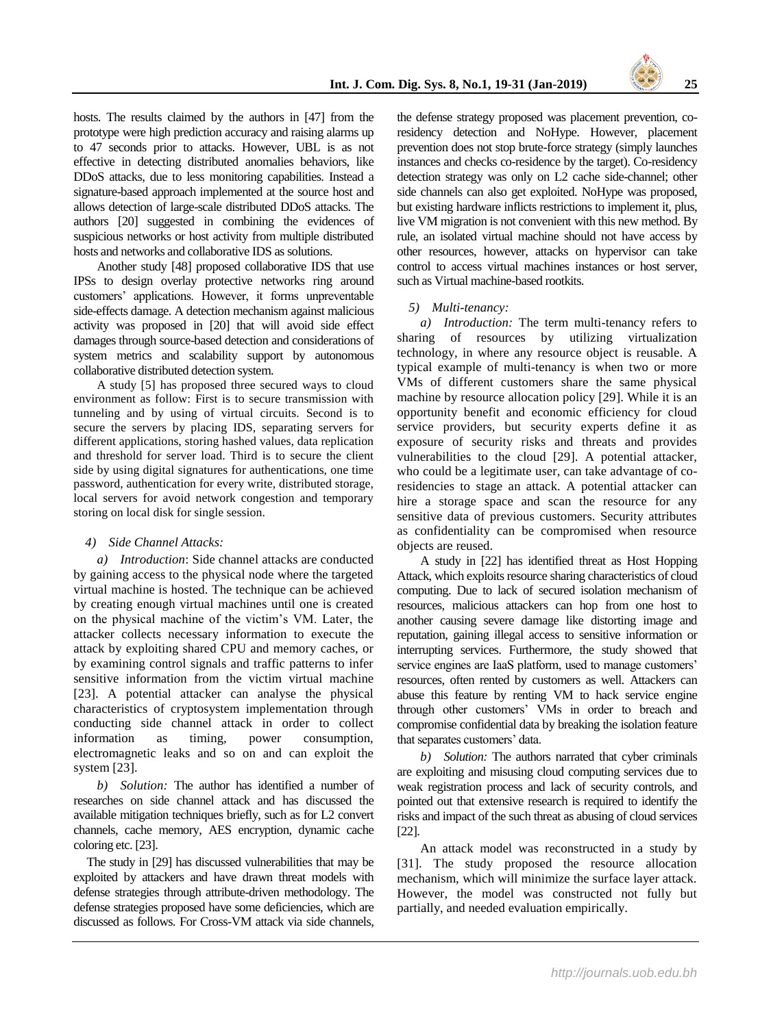hosts. The results claimed by the authors in [47] from the prototype were high prediction accuracy and raising alarms up to 47 seconds prior to attacks. However, UBL is as not effective in detecting distributed anomalies behaviors, like DDoS attacks, due to less monitoring capabilities. Instead a signature-based approach implemented at the source host and allows detection of large-scale distributed DDoS attacks. The authors [20] suggested in combining the evidences of suspicious networks or host activity from multiple distributed hosts and networks and collaborative IDS as solutions.

Another study [48] proposed collaborative IDS that use IPSs to design overlay protective networks ring around customers' applications. However, it forms unpreventable side-effects damage. A detection mechanism against malicious activity was proposed in [20] that will avoid side effect damages through source-based detection and considerations of system metrics and scalability support by autonomous collaborative distributed detection system.

A study [5] has proposed three secured ways to cloud environment as follow: First is to secure transmission with tunneling and by using of virtual circuits. Second is to secure the servers by placing IDS, separating servers for different applications, storing hashed values, data replication and threshold for server load. Third is to secure the client side by using digital signatures for authentications, one time password, authentication for every write, distributed storage, local servers for avoid network congestion and temporary storing on local disk for single session.

#### *4) Side Channel Attacks:*

*a) Introduction*: Side channel attacks are conducted by gaining access to the physical node where the targeted virtual machine is hosted. The technique can be achieved by creating enough virtual machines until one is created on the physical machine of the victim's VM. Later, the attacker collects necessary information to execute the attack by exploiting shared CPU and memory caches, or by examining control signals and traffic patterns to infer sensitive information from the victim virtual machine [23]. A potential attacker can analyse the physical characteristics of cryptosystem implementation through conducting side channel attack in order to collect information as timing, power consumption, electromagnetic leaks and so on and can exploit the system [23].

*b) Solution:* The author has identified a number of researches on side channel attack and has discussed the available mitigation techniques briefly, such as for L2 convert channels, cache memory, AES encryption, dynamic cache coloring etc. [23].

The study in [29] has discussed vulnerabilities that may be exploited by attackers and have drawn threat models with defense strategies through attribute-driven methodology. The defense strategies proposed have some deficiencies, which are discussed as follows. For Cross-VM attack via side channels,

the defense strategy proposed was placement prevention, coresidency detection and NoHype. However, placement prevention does not stop brute-force strategy (simply launches instances and checks co-residence by the target). Co-residency detection strategy was only on L2 cache side-channel; other side channels can also get exploited. NoHype was proposed, but existing hardware inflicts restrictions to implement it, plus, live VM migration is not convenient with this new method. By rule, an isolated virtual machine should not have access by other resources, however, attacks on hypervisor can take control to access virtual machines instances or host server, such as Virtual machine-based rootkits.

#### *5) Multi-tenancy:*

*a) Introduction:* The term multi-tenancy refers to sharing of resources by utilizing virtualization technology, in where any resource object is reusable. A typical example of multi-tenancy is when two or more VMs of different customers share the same physical machine by resource allocation policy [29]. While it is an opportunity benefit and economic efficiency for cloud service providers, but security experts define it as exposure of security risks and threats and provides vulnerabilities to the cloud [29]. A potential attacker, who could be a legitimate user, can take advantage of coresidencies to stage an attack. A potential attacker can hire a storage space and scan the resource for any sensitive data of previous customers. Security attributes as confidentiality can be compromised when resource objects are reused.

A study in [22] has identified threat as Host Hopping Attack, which exploits resource sharing characteristics of cloud computing. Due to lack of secured isolation mechanism of resources, malicious attackers can hop from one host to another causing severe damage like distorting image and reputation, gaining illegal access to sensitive information or interrupting services. Furthermore, the study showed that service engines are IaaS platform, used to manage customers' resources, often rented by customers as well. Attackers can abuse this feature by renting VM to hack service engine through other customers' VMs in order to breach and compromise confidential data by breaking the isolation feature that separates customers' data.

*b) Solution:* The authors narrated that cyber criminals are exploiting and misusing cloud computing services due to weak registration process and lack of security controls, and pointed out that extensive research is required to identify the risks and impact of the such threat as abusing of cloud services [22].

An attack model was reconstructed in a study by [31]. The study proposed the resource allocation mechanism, which will minimize the surface layer attack. However, the model was constructed not fully but partially, and needed evaluation empirically.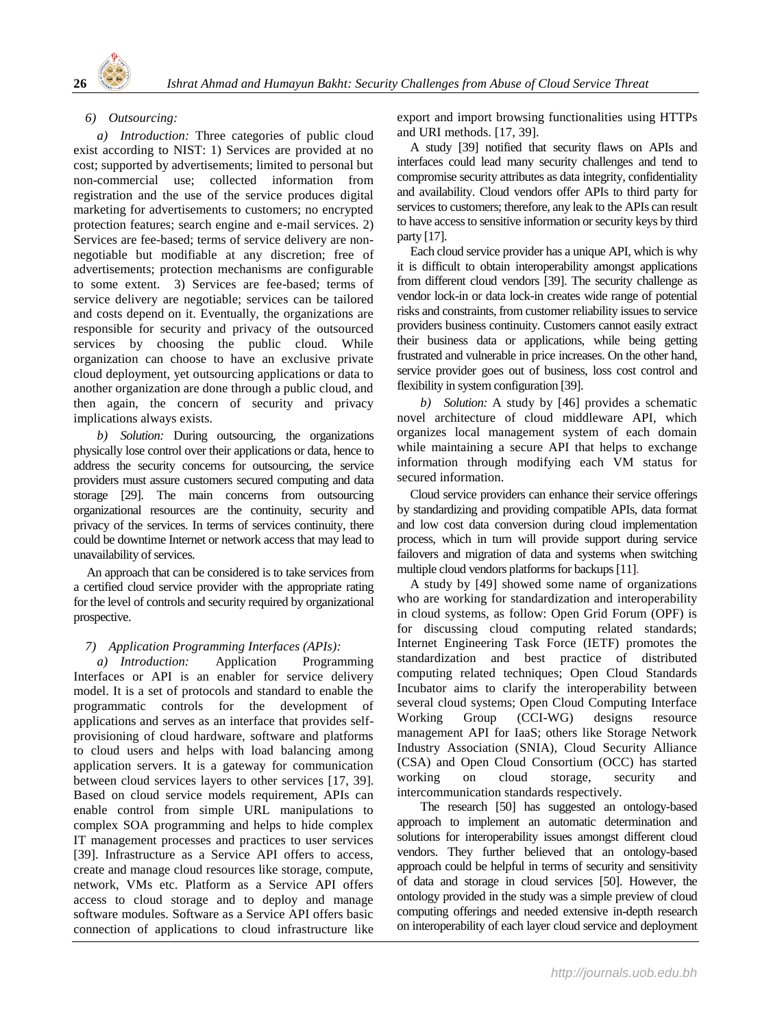

## *6) Outsourcing:*

*a) Introduction:* Three categories of public cloud exist according to NIST: 1) Services are provided at no cost; supported by advertisements; limited to personal but non-commercial use; collected information from registration and the use of the service produces digital marketing for advertisements to customers; no encrypted protection features; search engine and e-mail services. 2) Services are fee-based; terms of service delivery are nonnegotiable but modifiable at any discretion; free of advertisements; protection mechanisms are configurable to some extent. 3) Services are fee-based; terms of service delivery are negotiable; services can be tailored and costs depend on it. Eventually, the organizations are responsible for security and privacy of the outsourced services by choosing the public cloud. While organization can choose to have an exclusive private cloud deployment, yet outsourcing applications or data to another organization are done through a public cloud, and then again, the concern of security and privacy implications always exists.

*b) Solution:* During outsourcing, the organizations physically lose control over their applications or data, hence to address the security concerns for outsourcing, the service providers must assure customers secured computing and data storage [29]. The main concerns from outsourcing organizational resources are the continuity, security and privacy of the services. In terms of services continuity, there could be downtime Internet or network access that may lead to unavailability of services.

An approach that can be considered is to take services from a certified cloud service provider with the appropriate rating for the level of controls and security required by organizational prospective.

## *7) Application Programming Interfaces (APIs):*

*a) Introduction:* Application Programming Interfaces or API is an enabler for service delivery model. It is a set of protocols and standard to enable the programmatic controls for the development of applications and serves as an interface that provides selfprovisioning of cloud hardware, software and platforms to cloud users and helps with load balancing among application servers. It is a gateway for communication between cloud services layers to other services [17, 39]. Based on cloud service models requirement, APIs can enable control from simple URL manipulations to complex SOA programming and helps to hide complex IT management processes and practices to user services [39]. Infrastructure as a Service API offers to access, create and manage cloud resources like storage, compute, network, VMs etc. Platform as a Service API offers access to cloud storage and to deploy and manage software modules. Software as a Service API offers basic connection of applications to cloud infrastructure like

export and import browsing functionalities using HTTPs and URI methods. [17, 39].

A study [39] notified that security flaws on APIs and interfaces could lead many security challenges and tend to compromise security attributes as data integrity, confidentiality and availability. Cloud vendors offer APIs to third party for services to customers; therefore, any leak to the APIs can result to have access to sensitive information orsecurity keys by third party [17].

Each cloud service provider has a unique API, which is why it is difficult to obtain interoperability amongst applications from different cloud vendors [39]. The security challenge as vendor lock-in or data lock-in creates wide range of potential risks and constraints, from customer reliability issues to service providers business continuity. Customers cannot easily extract their business data or applications, while being getting frustrated and vulnerable in price increases. On the other hand, service provider goes out of business, loss cost control and flexibility in system configuration [39].

*b) Solution:* A study by [46] provides a schematic novel architecture of cloud middleware API, which organizes local management system of each domain while maintaining a secure API that helps to exchange information through modifying each VM status for secured information.

Cloud service providers can enhance their service offerings by standardizing and providing compatible APIs, data format and low cost data conversion during cloud implementation process, which in turn will provide support during service failovers and migration of data and systems when switching multiple cloud vendors platforms for backups[11].

A study by [49] showed some name of organizations who are working for standardization and interoperability in cloud systems, as follow: Open Grid Forum (OPF) is for discussing cloud computing related standards; Internet Engineering Task Force (IETF) promotes the standardization and best practice of distributed computing related techniques; Open Cloud Standards Incubator aims to clarify the interoperability between several cloud systems; Open Cloud Computing Interface Working Group (CCI-WG) designs resource management API for IaaS; others like Storage Network Industry Association (SNIA), Cloud Security Alliance (CSA) and Open Cloud Consortium (OCC) has started working on cloud storage, security and intercommunication standards respectively.

The research [50] has suggested an ontology-based approach to implement an automatic determination and solutions for interoperability issues amongst different cloud vendors. They further believed that an ontology-based approach could be helpful in terms of security and sensitivity of data and storage in cloud services [50]. However, the ontology provided in the study was a simple preview of cloud computing offerings and needed extensive in-depth research on interoperability of each layer cloud service and deployment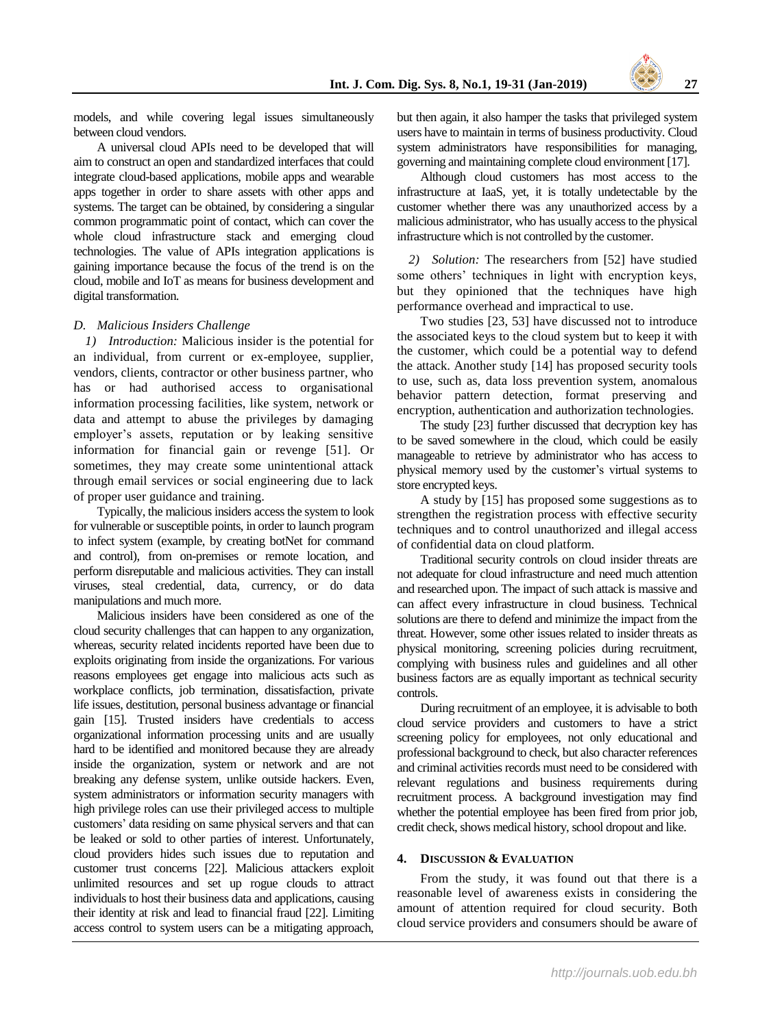models, and while covering legal issues simultaneously between cloud vendors.

A universal cloud APIs need to be developed that will aim to construct an open and standardized interfaces that could integrate cloud-based applications, mobile apps and wearable apps together in order to share assets with other apps and systems. The target can be obtained, by considering a singular common programmatic point of contact, which can cover the whole cloud infrastructure stack and emerging cloud technologies. The value of APIs integration applications is gaining importance because the focus of the trend is on the cloud, mobile and IoT as means for business development and digital transformation.

#### *D. Malicious Insiders Challenge*

*1) Introduction:* Malicious insider is the potential for an individual, from current or ex-employee, supplier, vendors, clients, contractor or other business partner, who has or had authorised access to organisational information processing facilities, like system, network or data and attempt to abuse the privileges by damaging employer's assets, reputation or by leaking sensitive information for financial gain or revenge [51]. Or sometimes, they may create some unintentional attack through email services or social engineering due to lack of proper user guidance and training.

Typically, the malicious insiders access the system to look for vulnerable or susceptible points, in order to launch program to infect system (example, by creating botNet for command and control), from on-premises or remote location, and perform disreputable and malicious activities. They can install viruses, steal credential, data, currency, or do data manipulations and much more.

Malicious insiders have been considered as one of the cloud security challenges that can happen to any organization, whereas, security related incidents reported have been due to exploits originating from inside the organizations. For various reasons employees get engage into malicious acts such as workplace conflicts, job termination, dissatisfaction, private life issues, destitution, personal business advantage or financial gain [15]. Trusted insiders have credentials to access organizational information processing units and are usually hard to be identified and monitored because they are already inside the organization, system or network and are not breaking any defense system, unlike outside hackers. Even, system administrators or information security managers with high privilege roles can use their privileged access to multiple customers' data residing on same physical servers and that can be leaked or sold to other parties of interest. Unfortunately, cloud providers hides such issues due to reputation and customer trust concerns [22]. Malicious attackers exploit unlimited resources and set up rogue clouds to attract individuals to host their business data and applications, causing their identity at risk and lead to financial fraud [22]. Limiting access control to system users can be a mitigating approach,

but then again, it also hamper the tasks that privileged system users have to maintain in terms of business productivity. Cloud system administrators have responsibilities for managing, governing and maintaining complete cloud environment [17].

Although cloud customers has most access to the infrastructure at IaaS, yet, it is totally undetectable by the customer whether there was any unauthorized access by a malicious administrator, who has usually access to the physical infrastructure which is not controlled by the customer.

*2) Solution:* The researchers from [52] have studied some others' techniques in light with encryption keys, but they opinioned that the techniques have high performance overhead and impractical to use.

Two studies [23, 53] have discussed not to introduce the associated keys to the cloud system but to keep it with the customer, which could be a potential way to defend the attack. Another study [14] has proposed security tools to use, such as, data loss prevention system, anomalous behavior pattern detection, format preserving and encryption, authentication and authorization technologies.

The study [23] further discussed that decryption key has to be saved somewhere in the cloud, which could be easily manageable to retrieve by administrator who has access to physical memory used by the customer's virtual systems to store encrypted keys.

A study by [15] has proposed some suggestions as to strengthen the registration process with effective security techniques and to control unauthorized and illegal access of confidential data on cloud platform.

Traditional security controls on cloud insider threats are not adequate for cloud infrastructure and need much attention and researched upon. The impact of such attack is massive and can affect every infrastructure in cloud business. Technical solutions are there to defend and minimize the impact from the threat. However, some other issues related to insider threats as physical monitoring, screening policies during recruitment, complying with business rules and guidelines and all other business factors are as equally important as technical security controls.

During recruitment of an employee, it is advisable to both cloud service providers and customers to have a strict screening policy for employees, not only educational and professional background to check, but also character references and criminal activities records must need to be considered with relevant regulations and business requirements during recruitment process. A background investigation may find whether the potential employee has been fired from prior job, credit check, shows medical history, school dropout and like.

#### **4. DISCUSSION & EVALUATION**

From the study, it was found out that there is a reasonable level of awareness exists in considering the amount of attention required for cloud security. Both cloud service providers and consumers should be aware of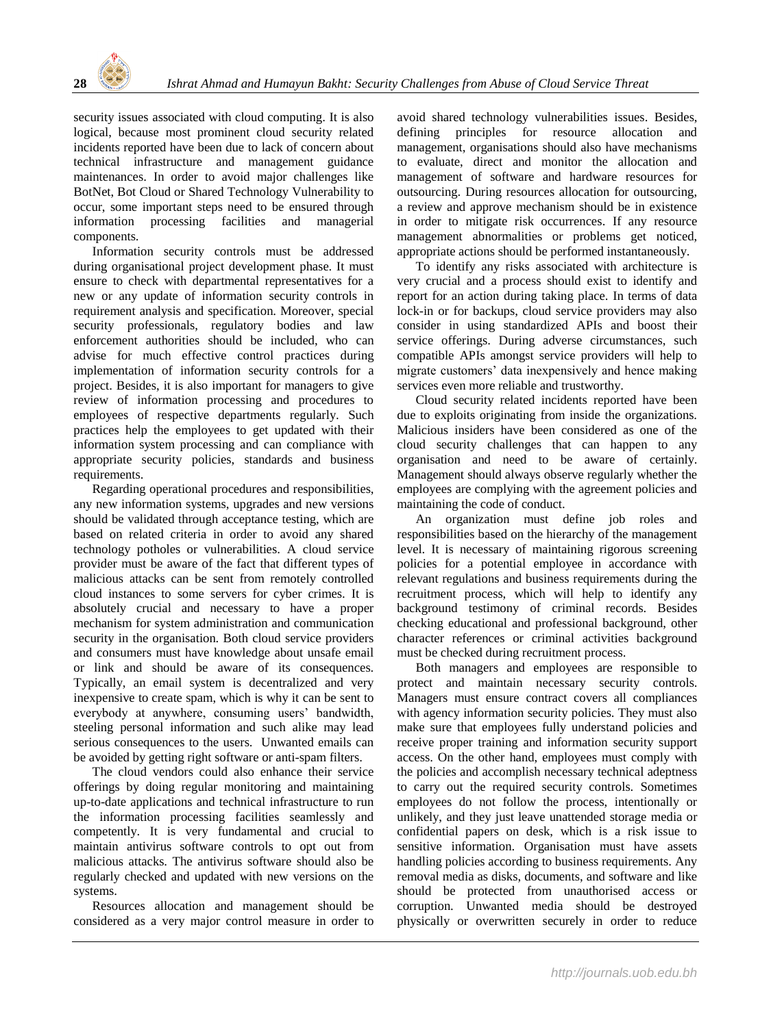

security issues associated with cloud computing. It is also logical, because most prominent cloud security related incidents reported have been due to lack of concern about technical infrastructure and management guidance maintenances. In order to avoid major challenges like BotNet, Bot Cloud or Shared Technology Vulnerability to occur, some important steps need to be ensured through information processing facilities and managerial components.

Information security controls must be addressed during organisational project development phase. It must ensure to check with departmental representatives for a new or any update of information security controls in requirement analysis and specification. Moreover, special security professionals, regulatory bodies and law enforcement authorities should be included, who can advise for much effective control practices during implementation of information security controls for a project. Besides, it is also important for managers to give review of information processing and procedures to employees of respective departments regularly. Such practices help the employees to get updated with their information system processing and can compliance with appropriate security policies, standards and business requirements.

Regarding operational procedures and responsibilities, any new information systems, upgrades and new versions should be validated through acceptance testing, which are based on related criteria in order to avoid any shared technology potholes or vulnerabilities. A cloud service provider must be aware of the fact that different types of malicious attacks can be sent from remotely controlled cloud instances to some servers for cyber crimes. It is absolutely crucial and necessary to have a proper mechanism for system administration and communication security in the organisation. Both cloud service providers and consumers must have knowledge about unsafe email or link and should be aware of its consequences. Typically, an email system is decentralized and very inexpensive to create spam, which is why it can be sent to everybody at anywhere, consuming users' bandwidth, steeling personal information and such alike may lead serious consequences to the users. Unwanted emails can be avoided by getting right software or anti-spam filters.

The cloud vendors could also enhance their service offerings by doing regular monitoring and maintaining up-to-date applications and technical infrastructure to run the information processing facilities seamlessly and competently. It is very fundamental and crucial to maintain antivirus software controls to opt out from malicious attacks. The antivirus software should also be regularly checked and updated with new versions on the systems.

Resources allocation and management should be considered as a very major control measure in order to avoid shared technology vulnerabilities issues. Besides, defining principles for resource allocation and management, organisations should also have mechanisms to evaluate, direct and monitor the allocation and management of software and hardware resources for outsourcing. During resources allocation for outsourcing, a review and approve mechanism should be in existence in order to mitigate risk occurrences. If any resource management abnormalities or problems get noticed, appropriate actions should be performed instantaneously.

To identify any risks associated with architecture is very crucial and a process should exist to identify and report for an action during taking place. In terms of data lock-in or for backups, cloud service providers may also consider in using standardized APIs and boost their service offerings. During adverse circumstances, such compatible APIs amongst service providers will help to migrate customers' data inexpensively and hence making services even more reliable and trustworthy.

Cloud security related incidents reported have been due to exploits originating from inside the organizations. Malicious insiders have been considered as one of the cloud security challenges that can happen to any organisation and need to be aware of certainly. Management should always observe regularly whether the employees are complying with the agreement policies and maintaining the code of conduct.

An organization must define job roles and responsibilities based on the hierarchy of the management level. It is necessary of maintaining rigorous screening policies for a potential employee in accordance with relevant regulations and business requirements during the recruitment process, which will help to identify any background testimony of criminal records. Besides checking educational and professional background, other character references or criminal activities background must be checked during recruitment process.

Both managers and employees are responsible to protect and maintain necessary security controls. Managers must ensure contract covers all compliances with agency information security policies. They must also make sure that employees fully understand policies and receive proper training and information security support access. On the other hand, employees must comply with the policies and accomplish necessary technical adeptness to carry out the required security controls. Sometimes employees do not follow the process, intentionally or unlikely, and they just leave unattended storage media or confidential papers on desk, which is a risk issue to sensitive information. Organisation must have assets handling policies according to business requirements. Any removal media as disks, documents, and software and like should be protected from unauthorised access or corruption. Unwanted media should be destroyed physically or overwritten securely in order to reduce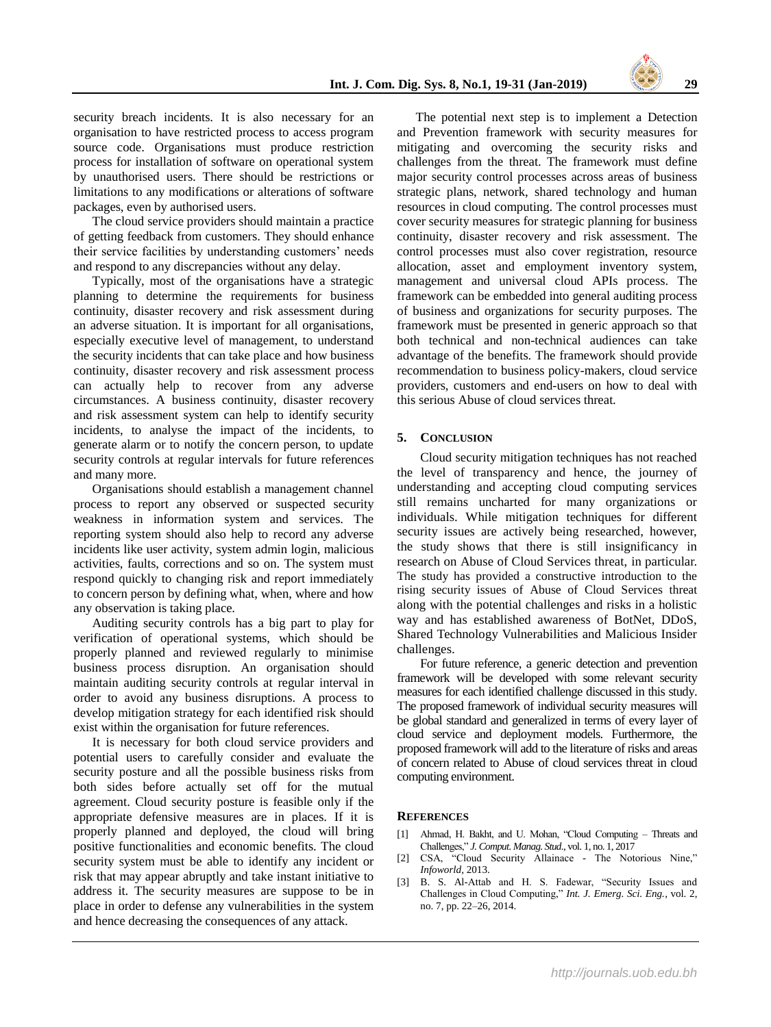security breach incidents. It is also necessary for an organisation to have restricted process to access program source code. Organisations must produce restriction process for installation of software on operational system by unauthorised users. There should be restrictions or limitations to any modifications or alterations of software packages, even by authorised users.

The cloud service providers should maintain a practice of getting feedback from customers. They should enhance their service facilities by understanding customers' needs and respond to any discrepancies without any delay.

Typically, most of the organisations have a strategic planning to determine the requirements for business continuity, disaster recovery and risk assessment during an adverse situation. It is important for all organisations, especially executive level of management, to understand the security incidents that can take place and how business continuity, disaster recovery and risk assessment process can actually help to recover from any adverse circumstances. A business continuity, disaster recovery and risk assessment system can help to identify security incidents, to analyse the impact of the incidents, to generate alarm or to notify the concern person, to update security controls at regular intervals for future references and many more.

Organisations should establish a management channel process to report any observed or suspected security weakness in information system and services. The reporting system should also help to record any adverse incidents like user activity, system admin login, malicious activities, faults, corrections and so on. The system must respond quickly to changing risk and report immediately to concern person by defining what, when, where and how any observation is taking place.

Auditing security controls has a big part to play for verification of operational systems, which should be properly planned and reviewed regularly to minimise business process disruption. An organisation should maintain auditing security controls at regular interval in order to avoid any business disruptions. A process to develop mitigation strategy for each identified risk should exist within the organisation for future references.

It is necessary for both cloud service providers and potential users to carefully consider and evaluate the security posture and all the possible business risks from both sides before actually set off for the mutual agreement. Cloud security posture is feasible only if the appropriate defensive measures are in places. If it is properly planned and deployed, the cloud will bring positive functionalities and economic benefits. The cloud security system must be able to identify any incident or risk that may appear abruptly and take instant initiative to address it. The security measures are suppose to be in place in order to defense any vulnerabilities in the system and hence decreasing the consequences of any attack.

The potential next step is to implement a Detection and Prevention framework with security measures for mitigating and overcoming the security risks and challenges from the threat. The framework must define major security control processes across areas of business strategic plans, network, shared technology and human resources in cloud computing. The control processes must cover security measures for strategic planning for business continuity, disaster recovery and risk assessment. The control processes must also cover registration, resource allocation, asset and employment inventory system, management and universal cloud APIs process. The framework can be embedded into general auditing process of business and organizations for security purposes. The framework must be presented in generic approach so that both technical and non-technical audiences can take advantage of the benefits. The framework should provide recommendation to business policy-makers, cloud service providers, customers and end-users on how to deal with this serious Abuse of cloud services threat.

#### **5. CONCLUSION**

Cloud security mitigation techniques has not reached the level of transparency and hence, the journey of understanding and accepting cloud computing services still remains uncharted for many organizations or individuals. While mitigation techniques for different security issues are actively being researched, however, the study shows that there is still insignificancy in research on Abuse of Cloud Services threat, in particular. The study has provided a constructive introduction to the rising security issues of Abuse of Cloud Services threat along with the potential challenges and risks in a holistic way and has established awareness of BotNet, DDoS, Shared Technology Vulnerabilities and Malicious Insider challenges.

For future reference, a generic detection and prevention framework will be developed with some relevant security measures for each identified challenge discussed in this study. The proposed framework of individual security measures will be global standard and generalized in terms of every layer of cloud service and deployment models. Furthermore, the proposed framework will add to the literature of risks and areas of concern related to Abuse of cloud services threat in cloud computing environment.

#### **REFERENCES**

- [1] Ahmad, H. Bakht, and U. Mohan, "Cloud Computing Threats and Challenges," *J. Comput. Manag. Stud.*, vol. 1, no. 1, 2017
- [2] CSA, "Cloud Security Allainace The Notorious Nine," *Infoworld*, 2013.
- [3] B. S. Al-Attab and H. S. Fadewar, "Security Issues and Challenges in Cloud Computing," *Int. J. Emerg. Sci. Eng.*, vol. 2, no. 7, pp. 22–26, 2014.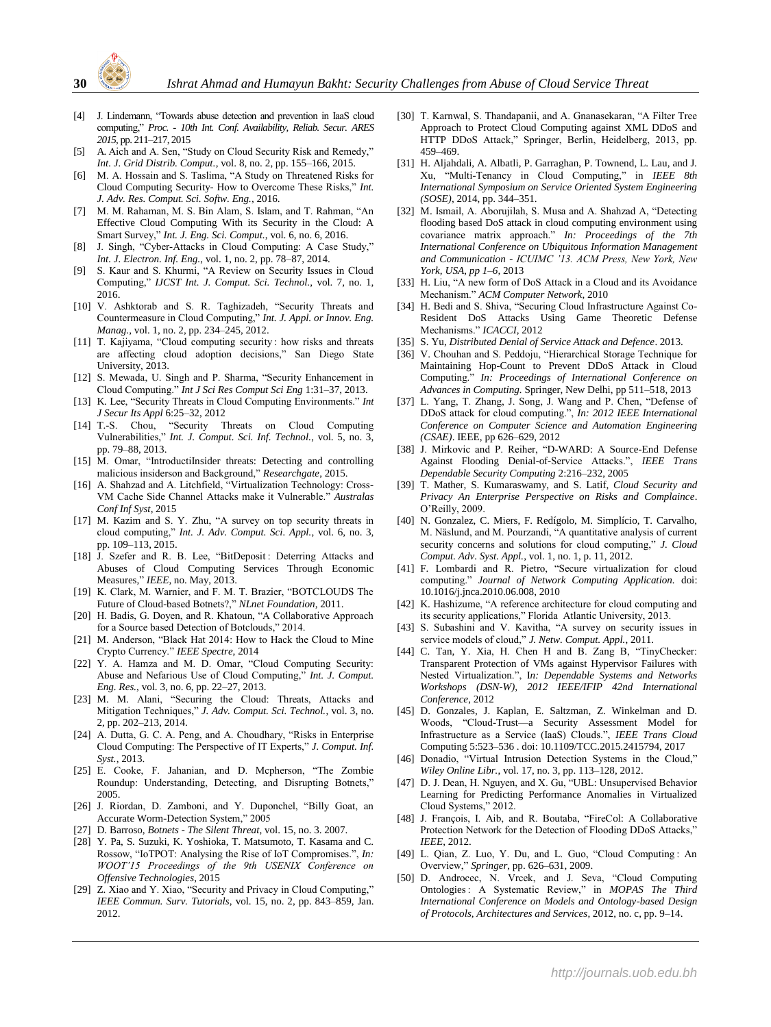

- [4] J. Lindemann, "Towards abuse detection and prevention in IaaS cloud computing," *Proc. - 10th Int. Conf. Availability, Reliab. Secur. ARES 2015*, pp. 211–217, 2015
- [5] A. Aich and A. Sen, "Study on Cloud Security Risk and Remedy," *Int. J. Grid Distrib. Comput.*, vol. 8, no. 2, pp. 155–166, 2015.
- [6] M. A. Hossain and S. Taslima, "A Study on Threatened Risks for Cloud Computing Security- How to Overcome These Risks," *Int. J. Adv. Res. Comput. Sci. Softw. Eng.*, 2016.
- [7] M. M. Rahaman, M. S. Bin Alam, S. Islam, and T. Rahman, "An Effective Cloud Computing With its Security in the Cloud: A Smart Survey," *Int. J. Eng. Sci. Comput.*, vol. 6, no. 6, 2016.
- [8] J. Singh, "Cyber-Attacks in Cloud Computing: A Case Study," *Int. J. Electron. Inf. Eng.*, vol. 1, no. 2, pp. 78–87, 2014.
- [9] S. Kaur and S. Khurmi, "A Review on Security Issues in Cloud Computing," *IJCST Int. J. Comput. Sci. Technol.*, vol. 7, no. 1, 2016.
- [10] V. Ashktorab and S. R. Taghizadeh, "Security Threats and Countermeasure in Cloud Computing," *Int. J. Appl. or Innov. Eng. Manag.*, vol. 1, no. 2, pp. 234–245, 2012.
- [11] T. Kajiyama, "Cloud computing security : how risks and threats are affecting cloud adoption decisions," San Diego State University, 2013.
- [12] S. Mewada, U. Singh and P. Sharma, "Security Enhancement in Cloud Computing." *Int J Sci Res Comput Sci Eng* 1:31–37, 2013.
- [13] K. Lee, "Security Threats in Cloud Computing Environments." *Int J Secur Its Appl* 6:25–32, 2012
- [14] T.-S. Chou, "Security Threats on Cloud Computing Vulnerabilities," *Int. J. Comput. Sci. Inf. Technol.*, vol. 5, no. 3, pp. 79–88, 2013.
- [15] M. Omar, "IntroductiInsider threats: Detecting and controlling malicious insiderson and Background," *Researchgate*, 2015.
- [16] A. Shahzad and A. Litchfield, "Virtualization Technology: Cross-VM Cache Side Channel Attacks make it Vulnerable." *Australas Conf Inf Syst*, 2015
- [17] M. Kazim and S. Y. Zhu, "A survey on top security threats in cloud computing," *Int. J. Adv. Comput. Sci. Appl.*, vol. 6, no. 3, pp. 109–113, 2015.
- [18] J. Szefer and R. B. Lee, "BitDeposit: Deterring Attacks and Abuses of Cloud Computing Services Through Economic Measures," *IEEE*, no. May, 2013.
- [19] K. Clark, M. Warnier, and F. M. T. Brazier, "BOTCLOUDS The Future of Cloud-based Botnets?," *NLnet Foundation*, 2011.
- [20] H. Badis, G. Doyen, and R. Khatoun, "A Collaborative Approach for a Source based Detection of Botclouds," 2014.
- [21] M. Anderson, "Black Hat 2014: How to Hack the Cloud to Mine Crypto Currency." *IEEE Spectre*, 2014
- [22] Y. A. Hamza and M. D. Omar, "Cloud Computing Security: Abuse and Nefarious Use of Cloud Computing," *Int. J. Comput. Eng. Res.*, vol. 3, no. 6, pp. 22–27, 2013.
- [23] M. M. Alani, "Securing the Cloud: Threats, Attacks and Mitigation Techniques," *J. Adv. Comput. Sci. Technol.*, vol. 3, no. 2, pp. 202–213, 2014.
- [24] A. Dutta, G. C. A. Peng, and A. Choudhary, "Risks in Enterprise Cloud Computing: The Perspective of IT Experts," *J. Comput. Inf. Syst.*, 2013.
- [25] E. Cooke, F. Jahanian, and D. Mcpherson, "The Zombie Roundup: Understanding, Detecting, and Disrupting Botnets," 2005.
- [26] J. Riordan, D. Zamboni, and Y. Duponchel, "Billy Goat, an Accurate Worm-Detection System," 2005
- [27] D. Barroso, *Botnets - The Silent Threat*, vol. 15, no. 3. 2007.
- [28] Y. Pa, S. Suzuki, K. Yoshioka, T. Matsumoto, T. Kasama and C. Rossow, "IoTPOT: Analysing the Rise of IoT Compromises.", *In: WOOT'15 Proceedings of the 9th USENIX Conference on Offensive Technologies*, 2015
- [29] Z. Xiao and Y. Xiao, "Security and Privacy in Cloud Computing," *IEEE Commun. Surv. Tutorials*, vol. 15, no. 2, pp. 843–859, Jan. 2012.
- [30] T. Karnwal, S. Thandapanii, and A. Gnanasekaran, "A Filter Tree Approach to Protect Cloud Computing against XML DDoS and HTTP DDoS Attack," Springer, Berlin, Heidelberg, 2013, pp. 459–469.
- [31] H. Aljahdali, A. Albatli, P. Garraghan, P. Townend, L. Lau, and J. Xu, "Multi-Tenancy in Cloud Computing," in *IEEE 8th International Symposium on Service Oriented System Engineering (SOSE)*, 2014, pp. 344–351.
- [32] M. Ismail, A. Aborujilah, S. Musa and A. Shahzad A, "Detecting flooding based DoS attack in cloud computing environment using covariance matrix approach." *In: Proceedings of the 7th International Conference on Ubiquitous Information Management and Communication - ICUIMC '13. ACM Press, New York, New York, USA, pp 1–6,* 2013
- [33] H. Liu, "A new form of DoS Attack in a Cloud and its Avoidance Mechanism." *ACM Computer Network*, 2010
- [34] H. Bedi and S. Shiva, "Securing Cloud Infrastructure Against Co-Resident DoS Attacks Using Game Theoretic Defense Mechanisms." *ICACCI*, 2012
- [35] S. Yu, *Distributed Denial of Service Attack and Defence*. 2013.
- [36] V. Chouhan and S. Peddoju, "Hierarchical Storage Technique for Maintaining Hop-Count to Prevent DDoS Attack in Cloud Computing." *In: Proceedings of International Conference on Advances in Computing.* Springer, New Delhi, pp 511–518, 2013
- [37] L. Yang, T. Zhang, J. Song, J. Wang and P. Chen, "Defense of DDoS attack for cloud computing.", *In: 2012 IEEE International Conference on Computer Science and Automation Engineering (CSAE)*. IEEE, pp 626–629, 2012
- [38] J. Mirkovic and P. Reiher, "D-WARD: A Source-End Defense Against Flooding Denial-of-Service Attacks.", *IEEE Trans Dependable Security Computing* 2:216–232, 2005
- [39] T. Mather, S. Kumaraswamy, and S. Latif, *Cloud Security and Privacy An Enterprise Perspective on Risks and Complaince*. O'Reilly, 2009.
- [40] N. Gonzalez, C. Miers, F. Redígolo, M. Simplício, T. Carvalho, M. Näslund, and M. Pourzandi, "A quantitative analysis of current security concerns and solutions for cloud computing," *J. Cloud Comput. Adv. Syst. Appl.*, vol. 1, no. 1, p. 11, 2012.
- [41] F. Lombardi and R. Pietro, "Secure virtualization for cloud computing." *Journal of Network Computing Application.* doi: 10.1016/j.jnca.2010.06.008, 2010
- [42] K. Hashizume, "A reference architecture for cloud computing and its security applications," Florida Atlantic University, 2013.
- [43] S. Subashini and V. Kavitha, "A survey on security issues in service models of cloud," *J. Netw. Comput. Appl.*, 2011.
- [44] C. Tan, Y. Xia, H. Chen H and B. Zang B, "TinyChecker: Transparent Protection of VMs against Hypervisor Failures with Nested Virtualization.", I*n: Dependable Systems and Networks Workshops (DSN-W), 2012 IEEE/IFIP 42nd International Conference*, 2012
- [45] D. Gonzales, J. Kaplan, E. Saltzman, Z. Winkelman and D. Woods, "Cloud-Trust—a Security Assessment Model for Infrastructure as a Service (IaaS) Clouds.", *IEEE Trans Cloud*  Computing 5:523–536 . doi: 10.1109/TCC.2015.2415794, 2017
- [46] Donadio, "Virtual Intrusion Detection Systems in the Cloud," *Wiley Online Libr.*, vol. 17, no. 3, pp. 113–128, 2012.
- [47] D. J. Dean, H. Nguyen, and X. Gu, "UBL: Unsupervised Behavior Learning for Predicting Performance Anomalies in Virtualized Cloud Systems," 2012.
- [48] J. François, I. Aib, and R. Boutaba, "FireCol: A Collaborative Protection Network for the Detection of Flooding DDoS Attacks," *IEEE*, 2012.
- [49] L. Qian, Z. Luo, Y. Du, and L. Guo, "Cloud Computing: An Overview," *Springer*, pp. 626–631, 2009.
- [50] D. Androcec, N. Vrcek, and J. Seva, "Cloud Computing Ontologies : A Systematic Review," in *MOPAS The Third International Conference on Models and Ontology-based Design of Protocols, Architectures and Services*, 2012, no. c, pp. 9–14.